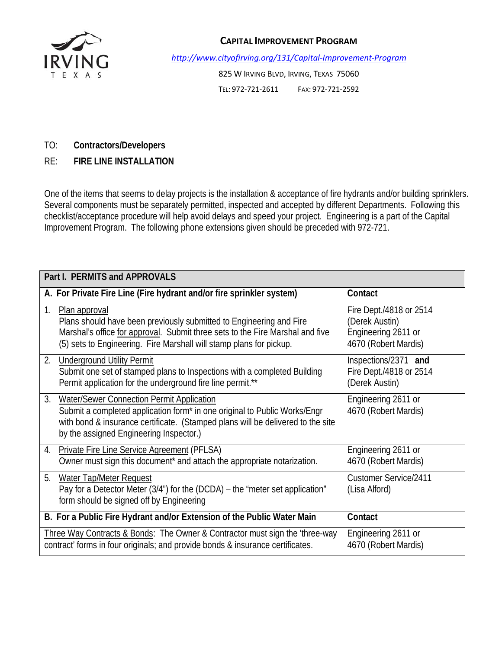

## **CAPITAL IMPROVEMENT PROGRAM**

*http://www.cityofirving.org/131/Capital‐Improvement‐Program*

825 W IRVING BLVD, IRVING, TEXAS 75060 TEL: 972‐721‐2611 FAX: 972‐721‐2592

## TO: **Contractors/Developers**

RE: **FIRE LINE INSTALLATION** 

One of the items that seems to delay projects is the installation & acceptance of fire hydrants and/or building sprinklers. Several components must be separately permitted, inspected and accepted by different Departments. Following this checklist/acceptance procedure will help avoid delays and speed your project. Engineering is a part of the Capital Improvement Program. The following phone extensions given should be preceded with 972-721.

| <b>Part I. PERMITS and APPROVALS</b>                                                                                                                                                                                                                       |                                                                                          |
|------------------------------------------------------------------------------------------------------------------------------------------------------------------------------------------------------------------------------------------------------------|------------------------------------------------------------------------------------------|
| A. For Private Fire Line (Fire hydrant and/or fire sprinkler system)                                                                                                                                                                                       | Contact                                                                                  |
| 1.<br>Plan approval<br>Plans should have been previously submitted to Engineering and Fire<br>Marshal's office for approval. Submit three sets to the Fire Marshal and five<br>(5) sets to Engineering. Fire Marshall will stamp plans for pickup.         | Fire Dept./4818 or 2514<br>(Derek Austin)<br>Engineering 2611 or<br>4670 (Robert Mardis) |
| 2.<br><b>Underground Utility Permit</b><br>Submit one set of stamped plans to Inspections with a completed Building<br>Permit application for the underground fire line permit.**                                                                          | Inspections/2371 and<br>Fire Dept./4818 or 2514<br>(Derek Austin)                        |
| Water/Sewer Connection Permit Application<br>3.<br>Submit a completed application form* in one original to Public Works/Engr<br>with bond & insurance certificate. (Stamped plans will be delivered to the site<br>by the assigned Engineering Inspector.) | Engineering 2611 or<br>4670 (Robert Mardis)                                              |
| 4. Private Fire Line Service Agreement (PFLSA)<br>Owner must sign this document* and attach the appropriate notarization.                                                                                                                                  | Engineering 2611 or<br>4670 (Robert Mardis)                                              |
| 5.<br><b>Water Tap/Meter Request</b><br>Pay for a Detector Meter (3/4") for the (DCDA) – the "meter set application"<br>form should be signed off by Engineering                                                                                           | <b>Customer Service/2411</b><br>(Lisa Alford)                                            |
| B. For a Public Fire Hydrant and/or Extension of the Public Water Main                                                                                                                                                                                     | Contact                                                                                  |
| Three Way Contracts & Bonds: The Owner & Contractor must sign the 'three-way<br>contract' forms in four originals; and provide bonds & insurance certificates.                                                                                             | Engineering 2611 or<br>4670 (Robert Mardis)                                              |